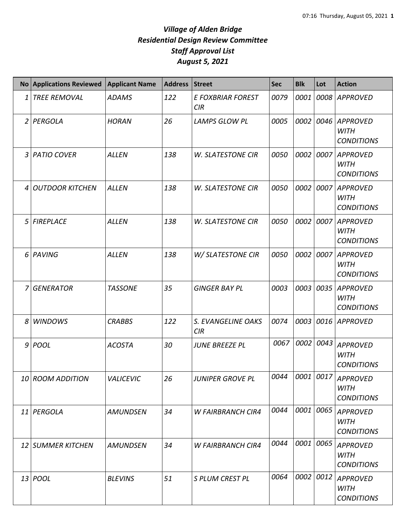|                | No Applications Reviewed | <b>Applicant Name</b> | <b>Address</b> | <b>Street</b>                   | <b>Sec</b> | <b>Blk</b> | Lot  | <b>Action</b>                                       |
|----------------|--------------------------|-----------------------|----------------|---------------------------------|------------|------------|------|-----------------------------------------------------|
| 1              | <b>TREE REMOVAL</b>      | <b>ADAMS</b>          | 122            | <b>E FOXBRIAR FOREST</b><br>CIR | 0079       | 0001       |      | 0008 APPROVED                                       |
|                | 2 PERGOLA                | <b>HORAN</b>          | 26             | <b>LAMPS GLOW PL</b>            | 0005       | 0002       | 0046 | <b>APPROVED</b><br><b>WITH</b><br><b>CONDITIONS</b> |
| $\mathbf{3}$   | <b>PATIO COVER</b>       | <b>ALLEN</b>          | 138            | <b>W. SLATESTONE CIR</b>        | 0050       | 0002       |      | 0007 APPROVED<br><b>WITH</b><br><b>CONDITIONS</b>   |
| 4              | <b>OUTDOOR KITCHEN</b>   | <b>ALLEN</b>          | 138            | <b>W. SLATESTONE CIR</b>        | 0050       | 0002       | 0007 | <b>APPROVED</b><br><b>WITH</b><br><b>CONDITIONS</b> |
| 5 <sup>1</sup> | <b>FIREPLACE</b>         | <b>ALLEN</b>          | 138            | <b>W. SLATESTONE CIR</b>        | 0050       | 0002       |      | 0007 APPROVED<br><b>WITH</b><br><b>CONDITIONS</b>   |
| $6 \mid$       | PAVING                   | <b>ALLEN</b>          | 138            | W/ SLATESTONE CIR               | 0050       | 0002       |      | 0007 APPROVED<br><b>WITH</b><br><b>CONDITIONS</b>   |
| 7 I            | <b>GENERATOR</b>         | <b>TASSONE</b>        | 35             | <b>GINGER BAY PL</b>            | 0003       | 0003       | 0035 | <b>APPROVED</b><br><b>WITH</b><br><b>CONDITIONS</b> |
| 8              | <b>WINDOWS</b>           | <b>CRABBS</b>         | 122            | S. EVANGELINE OAKS<br>CIR       | 0074       | 0003       |      | 0016 APPROVED                                       |
|                | $9$ POOL                 | <b>ACOSTA</b>         | 30             | <b>JUNE BREEZE PL</b>           | 0067       | 0002       | 0043 | <b>APPROVED</b><br><b>WITH</b><br><b>CONDITIONS</b> |
|                | 10 ROOM ADDITION         | <b>VALICEVIC</b>      | 26             | <b>JUNIPER GROVE PL</b>         | 0044       |            |      | 0001  0017   APPROVED<br>WITH<br><b>CONDITIONS</b>  |
|                | 11 PERGOLA               | <b>AMUNDSEN</b>       | 34             | <b>W FAIRBRANCH CIR4</b>        | 0044       | 0001       | 0065 | <b>APPROVED</b><br>WITH<br><b>CONDITIONS</b>        |
|                | 12 SUMMER KITCHEN        | <b>AMUNDSEN</b>       | 34             | <b>W FAIRBRANCH CIR4</b>        | 0044       | 0001       | 0065 | <b>APPROVED</b><br><b>WITH</b><br><b>CONDITIONS</b> |
|                | 13 <i>POOL</i>           | <b>BLEVINS</b>        | 51             | S PLUM CREST PL                 | 0064       | 0002       | 0012 | <b>APPROVED</b><br><b>WITH</b><br><b>CONDITIONS</b> |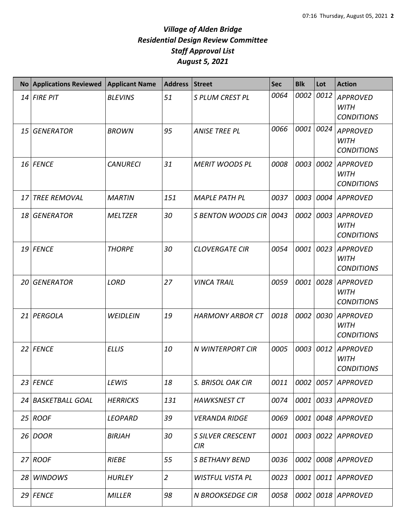|                 | No Applications Reviewed | <b>Applicant Name</b> | <b>Address</b> | <b>Street</b>                   | <b>Sec</b> | <b>Blk</b> | Lot  | <b>Action</b>                                       |
|-----------------|--------------------------|-----------------------|----------------|---------------------------------|------------|------------|------|-----------------------------------------------------|
|                 | 14 FIRE PIT              | <b>BLEVINS</b>        | 51             | S PLUM CREST PL                 | 0064       | 0002       | 0012 | <b>APPROVED</b><br><b>WITH</b><br><b>CONDITIONS</b> |
| 15 <sup>1</sup> | <b>GENERATOR</b>         | <b>BROWN</b>          | 95             | <b>ANISE TREE PL</b>            | 0066       | 0001       | 0024 | <b>APPROVED</b><br><b>WITH</b><br><b>CONDITIONS</b> |
|                 | 16 FENCE                 | <b>CANURECI</b>       | 31             | <b>MERIT WOODS PL</b>           | 0008       | 0003       | 0002 | <b>APPROVED</b><br><b>WITH</b><br><b>CONDITIONS</b> |
| 17              | <b>TREE REMOVAL</b>      | <b>MARTIN</b>         | 151            | <b>MAPLE PATH PL</b>            | 0037       | 0003       | 0004 | <b>APPROVED</b>                                     |
| 18              | <b>GENERATOR</b>         | <b>MELTZER</b>        | 30             | <b>S BENTON WOODS CIR</b>       | 0043       | 0002       | 0003 | <b>APPROVED</b><br><b>WITH</b><br><b>CONDITIONS</b> |
|                 | 19 FENCE                 | <b>THORPE</b>         | 30             | <b>CLOVERGATE CIR</b>           | 0054       | 0001       | 0023 | <b>APPROVED</b><br><b>WITH</b><br><b>CONDITIONS</b> |
| 20              | <b>GENERATOR</b>         | <b>LORD</b>           | 27             | <b>VINCA TRAIL</b>              | 0059       | 0001       | 0028 | <b>APPROVED</b><br><b>WITH</b><br><b>CONDITIONS</b> |
| 21              | PERGOLA                  | <b>WEIDLEIN</b>       | 19             | <b>HARMONY ARBOR CT</b>         | 0018       | 0002       | 0030 | <b>APPROVED</b><br><b>WITH</b><br><b>CONDITIONS</b> |
|                 | 22 FENCE                 | <b>ELLIS</b>          | 10             | N WINTERPORT CIR                | 0005       | 0003       | 0012 | <b>APPROVED</b><br><b>WITH</b><br><b>CONDITIONS</b> |
|                 | 23 FENCE                 | LEWIS                 | 18             | S. BRISOL OAK CIR               | 0011       | 0002       |      | 0057 APPROVED                                       |
|                 | 24 BASKETBALL GOAL       | <b>HERRICKS</b>       | 131            | <b>HAWKSNEST CT</b>             | 0074       | 0001       |      | 0033 APPROVED                                       |
|                 | 25 ROOF                  | <b>LEOPARD</b>        | 39             | <b>VERANDA RIDGE</b>            | 0069       | 0001       |      | 0048 APPROVED                                       |
|                 | 26 DOOR                  | <b>BIRJAH</b>         | 30             | <b>S SILVER CRESCENT</b><br>CIR | 0001       | 0003       |      | 0022 APPROVED                                       |
|                 | 27 ROOF                  | <b>RIEBE</b>          | 55             | S BETHANY BEND                  | 0036       | 0002       |      | 0008 APPROVED                                       |
| 28              | <b>WINDOWS</b>           | <b>HURLEY</b>         | $\overline{2}$ | <b>WISTFUL VISTA PL</b>         | 0023       | 0001       |      | 0011 APPROVED                                       |
|                 | 29 FENCE                 | <b>MILLER</b>         | 98             | <b>N BROOKSEDGE CIR</b>         | 0058       | 0002       |      | 0018 APPROVED                                       |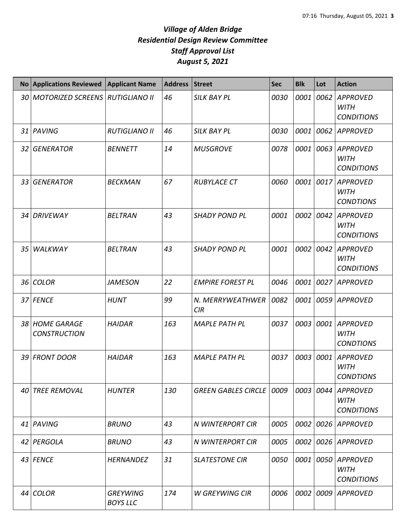|                 | No Applications Reviewed              | <b>Applicant Name</b>              | <b>Address</b> | <b>Street</b>              | <b>Sec</b> | <b>Blk</b> | Lot  | <b>Action</b>                                       |
|-----------------|---------------------------------------|------------------------------------|----------------|----------------------------|------------|------------|------|-----------------------------------------------------|
|                 | 30   MOTORIZED SCREENS                | <b>RUTIGLIANO II</b>               | 46             | <b>SILK BAY PL</b>         | 0030       | 0001       | 0062 | <b>APPROVED</b><br><b>WITH</b><br><b>CONDITIONS</b> |
|                 | 31 PAVING                             | <b>RUTIGLIANO II</b>               | 46             | <b>SILK BAY PL</b>         | 0030       | 0001       | 0062 | <b>APPROVED</b>                                     |
|                 | 32 GENERATOR                          | <b>BENNETT</b>                     | 14             | <b>MUSGROVE</b>            | 0078       | 0001       | 0063 | <b>APPROVED</b><br><b>WITH</b><br><b>CONDITIONS</b> |
|                 | 33 GENERATOR                          | <b>BECKMAN</b>                     | 67             | <b>RUBYLACE CT</b>         | 0060       | 0001       | 0017 | <b>APPROVED</b><br><b>WITH</b><br><b>CONDTIONS</b>  |
|                 | 34 DRIVEWAY                           | <b>BELTRAN</b>                     | 43             | <b>SHADY POND PL</b>       | 0001       | 0002       | 0042 | <b>APPROVED</b><br><b>WITH</b><br><b>CONDITIONS</b> |
| 35 <sub>1</sub> | WALKWAY                               | <b>BELTRAN</b>                     | 43             | <b>SHADY POND PL</b>       | 0001       | 0002       | 0042 | <b>APPROVED</b><br><b>WITH</b><br><b>CONDITIONS</b> |
|                 | 36 COLOR                              | <b>JAMESON</b>                     | 22             | <b>EMPIRE FOREST PL</b>    | 0046       | 0001       | 0027 | <b>APPROVED</b>                                     |
|                 | 37 FENCE                              | <b>HUNT</b>                        | 99             | N. MERRYWEATHWER<br>CIR    | 0082       | 0001       | 0059 | <b>APPROVED</b>                                     |
|                 | 38 HOME GARAGE<br><b>CONSTRUCTION</b> | <b>HAIDAR</b>                      | 163            | <b>MAPLE PATH PL</b>       | 0037       | 0003       | 0001 | <b>APPROVED</b><br><b>WITH</b><br><b>CONDTIONS</b>  |
|                 | 39 FRONT DOOR                         | <b>HAIDAR</b>                      | 163            | <b>MAPLE PATH PL</b>       | 0037       | 0003       | 0001 | <b>APPROVED</b><br><b>WITH</b><br><b>CONDTIONS</b>  |
| 40              | <b>TREE REMOVAL</b>                   | <b>HUNTER</b>                      | 130            | <b>GREEN GABLES CIRCLE</b> | 0009       | 0003       | 0044 | <b>APPROVED</b><br><b>WITH</b><br><b>CONDITIONS</b> |
|                 | 41 PAVING                             | <b>BRUNO</b>                       | 43             | N WINTERPORT CIR           | 0005       | 0002       | 0026 | <b>APPROVED</b>                                     |
|                 | 42 PERGOLA                            | <b>BRUNO</b>                       | 43             | N WINTERPORT CIR           | 0005       | 0002       | 0026 | <b>APPROVED</b>                                     |
|                 | 43 FENCE                              | <b>HERNANDEZ</b>                   | 31             | <b>SLATESTONE CIR</b>      | 0050       | 0001       | 0050 | <b>APPROVED</b><br><b>WITH</b><br><b>CONDITIONS</b> |
|                 | 44 COLOR                              | <b>GREYWING</b><br><b>BOYS LLC</b> | 174            | <b>W GREYWING CIR</b>      | 0006       | 0002       | 0009 | <b>APPROVED</b>                                     |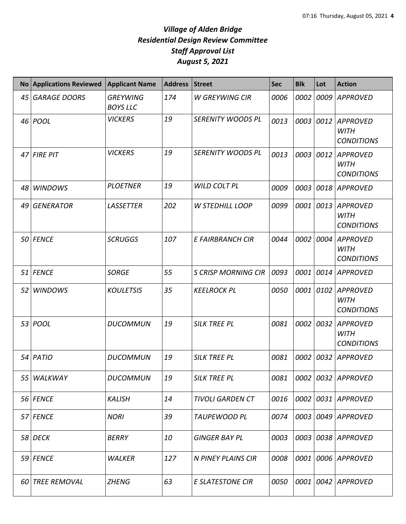|    | No Applications Reviewed | <b>Applicant Name</b>              | <b>Address</b> | <b>Street</b>              | <b>Sec</b> | <b>Blk</b> | Lot  | <b>Action</b>                                       |
|----|--------------------------|------------------------------------|----------------|----------------------------|------------|------------|------|-----------------------------------------------------|
| 45 | <b>GARAGE DOORS</b>      | <b>GREYWING</b><br><b>BOYS LLC</b> | 174            | W GREYWING CIR             | 0006       | 0002       | 0009 | <b>APPROVED</b>                                     |
|    | 46 POOL                  | <b>VICKERS</b>                     | 19             | SERENITY WOODS PL          | 0013       | 0003       | 0012 | <b>APPROVED</b><br><b>WITH</b><br><b>CONDITIONS</b> |
|    | 47 FIRE PIT              | <b>VICKERS</b>                     | 19             | SERENITY WOODS PL          | 0013       | 0003       | 0012 | <b>APPROVED</b><br><b>WITH</b><br><b>CONDITIONS</b> |
| 48 | <b>WINDOWS</b>           | <b>PLOETNER</b>                    | 19             | WILD COLT PL               | 0009       | 0003       | 0018 | <b>APPROVED</b>                                     |
| 49 | <b>GENERATOR</b>         | <b>LASSETTER</b>                   | 202            | <b>W STEDHILL LOOP</b>     | 0099       | 0001       | 0013 | <b>APPROVED</b><br><b>WITH</b><br><b>CONDITIONS</b> |
|    | 50 FENCE                 | <b>SCRUGGS</b>                     | 107            | E FAIRBRANCH CIR           | 0044       | 0002       | 0004 | <b>APPROVED</b><br><b>WITH</b><br><b>CONDITIONS</b> |
|    | 51 FENCE                 | <b>SORGE</b>                       | 55             | <b>S CRISP MORNING CIR</b> | 0093       | 0001       | 0014 | <b>APPROVED</b>                                     |
| 52 | <b>WINDOWS</b>           | <b>KOULETSIS</b>                   | 35             | <b>KEELROCK PL</b>         | 0050       | 0001       | 0102 | <b>APPROVED</b><br><b>WITH</b><br><b>CONDITIONS</b> |
|    | 53 <i>POOL</i>           | <b>DUCOMMUN</b>                    | 19             | <b>SILK TREE PL</b>        | 0081       | 0002       | 0032 | <b>APPROVED</b><br><b>WITH</b><br><b>CONDITIONS</b> |
|    | 54 PATIO                 | <b>DUCOMMUN</b>                    | 19             | <b>SILK TREE PL</b>        | 0081       | 0002       | 0032 | <b>APPROVED</b>                                     |
| 55 | WALKWAY                  | <b>DUCOMMUN</b>                    | 19             | <b>SILK TREE PL</b>        | 0081       |            |      | 0002 0032 APPROVED                                  |
|    | 56 FENCE                 | <b>KALISH</b>                      | 14             | <b>TIVOLI GARDEN CT</b>    | 0016       | 0002       | 0031 | <b>APPROVED</b>                                     |
|    | 57 FENCE                 | <b>NORI</b>                        | 39             | TAUPEWOOD PL               | 0074       | 0003       |      | 0049 APPROVED                                       |
|    | <b>58 DECK</b>           | BERRY                              | 10             | <b>GINGER BAY PL</b>       | 0003       | 0003       |      | 0038 APPROVED                                       |
|    | 59 FENCE                 | <b>WALKER</b>                      | 127            | N PINEY PLAINS CIR         | 0008       | 0001       |      | 0006 APPROVED                                       |
| 60 | <b>TREE REMOVAL</b>      | <b>ZHENG</b>                       | 63             | <b>E SLATESTONE CIR</b>    | 0050       | 0001       | 0042 | APPROVED                                            |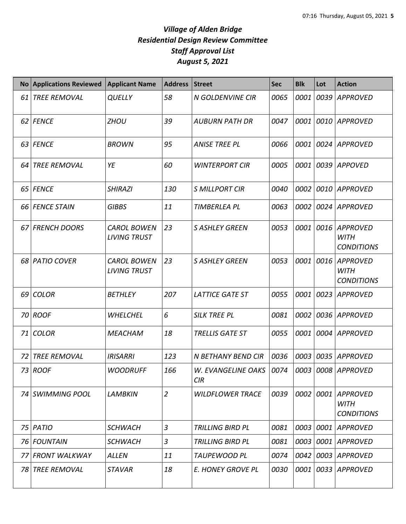|      | No Applications Reviewed | <b>Applicant Name</b>                     | <b>Address</b> | <b>Street</b>                           | <b>Sec</b> | <b>Blk</b> | Lot  | <b>Action</b>                                       |
|------|--------------------------|-------------------------------------------|----------------|-----------------------------------------|------------|------------|------|-----------------------------------------------------|
| 61   | <b>TREE REMOVAL</b>      | <b>QUELLY</b>                             | 58             | N GOLDENVINE CIR                        | 0065       | 0001       |      | 0039 APPROVED                                       |
|      | 62 FENCE                 | <b>ZHOU</b>                               | 39             | <b>AUBURN PATH DR</b>                   | 0047       | 0001       |      | 0010 APPROVED                                       |
| 63   | <b>FENCE</b>             | <b>BROWN</b>                              | 95             | <b>ANISE TREE PL</b>                    | 0066       | 0001       |      | 0024 APPROVED                                       |
| 64   | <b>TREE REMOVAL</b>      | YE                                        | 60             | <b>WINTERPORT CIR</b>                   | 0005       | 0001       |      | 0039 APPOVED                                        |
| 65   | <b>FENCE</b>             | <b>SHIRAZI</b>                            | 130            | <b>S MILLPORT CIR</b>                   | 0040       | 0002       |      | 0010 APPROVED                                       |
| 66 I | <b>FENCE STAIN</b>       | <b>GIBBS</b>                              | 11             | <b>TIMBERLEA PL</b>                     | 0063       | 0002       |      | 0024 APPROVED                                       |
| 67 I | <b>FRENCH DOORS</b>      | <b>CAROL BOWEN</b><br><b>LIVING TRUST</b> | 23             | <b>S ASHLEY GREEN</b>                   | 0053       | 0001       | 0016 | APPROVED<br><b>WITH</b><br><b>CONDITIONS</b>        |
| 68   | <b>PATIO COVER</b>       | <b>CAROL BOWEN</b><br><b>LIVING TRUST</b> | 23             | <b>S ASHLEY GREEN</b>                   | 0053       | 0001       | 0016 | <b>APPROVED</b><br><b>WITH</b><br><b>CONDITIONS</b> |
| 69   | <b>COLOR</b>             | <b>BETHLEY</b>                            | 207            | <b>LATTICE GATE ST</b>                  | 0055       | 0001       |      | 0023 APPROVED                                       |
|      | 70 ROOF                  | <b>WHELCHEL</b>                           | 6              | <b>SILK TREE PL</b>                     | 0081       | 0002       |      | 0036 APPROVED                                       |
| 71 I | <b>COLOR</b>             | <b>MEACHAM</b>                            | 18             | TRELLIS GATE ST                         | 0055       | 0001       |      | 0004 APPROVED                                       |
| 72   | <b>TREE REMOVAL</b>      | <b>IRISARRI</b>                           | 123            | N BETHANY BEND CIR                      | 0036       | 0003       |      | 0035 APPROVED                                       |
|      | 73   ROOF                | <b>WOODRUFF</b>                           | 166            | W. EVANGELINE OAKS   0074<br><b>CIR</b> |            |            |      | 0003 0008 APPROVED                                  |
|      | 74 SWIMMING POOL         | <b>LAMBKIN</b>                            | $\overline{2}$ | <b>WILDFLOWER TRACE</b>                 | 0039       | 0002       | 0001 | <b>APPROVED</b><br>WITH<br><b>CONDITIONS</b>        |
| 75 I | PATIO                    | <b>SCHWACH</b>                            | 3              | <b>TRILLING BIRD PL</b>                 | 0081       | 0003       |      | 0001 APPROVED                                       |
| 76 I | <b>FOUNTAIN</b>          | <b>SCHWACH</b>                            | 3              | <b>TRILLING BIRD PL</b>                 | 0081       | 0003       |      | 0001 APPROVED                                       |
| 77   | <b>FRONT WALKWAY</b>     | <b>ALLEN</b>                              | 11             | <b>TAUPEWOOD PL</b>                     | 0074       | 0042       |      | 0003 APPROVED                                       |
| 78   | <b>TREE REMOVAL</b>      | <b>STAVAR</b>                             | 18             | E. HONEY GROVE PL                       | 0030       | 0001       |      | 0033 APPROVED                                       |